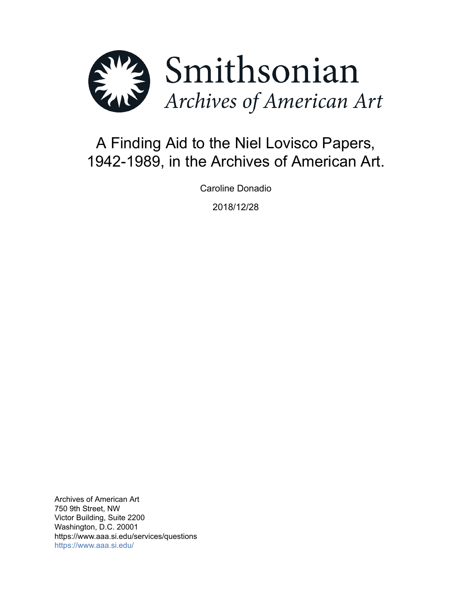

# A Finding Aid to the Niel Lovisco Papers, 1942-1989, in the Archives of American Art.

Caroline Donadio

2018/12/28

Archives of American Art 750 9th Street, NW Victor Building, Suite 2200 Washington, D.C. 20001 https://www.aaa.si.edu/services/questions <https://www.aaa.si.edu/>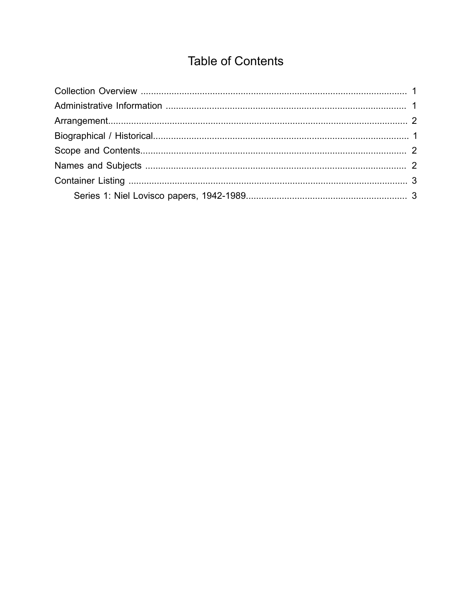## **Table of Contents**

<span id="page-1-0"></span>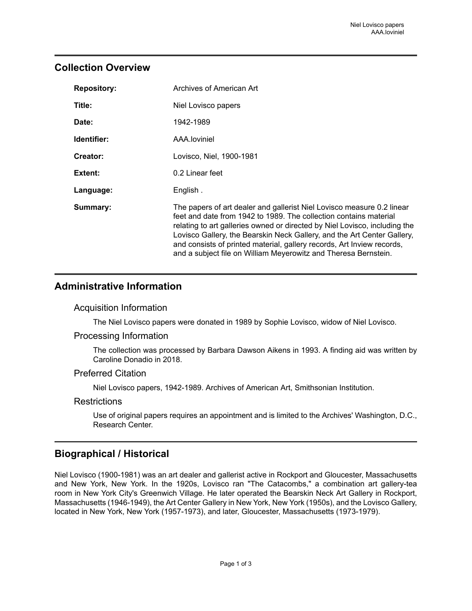### <span id="page-2-0"></span>**Collection Overview**

| <b>Repository:</b> | Archives of American Art                                                                                                                                                                                                                                                                                                                                                                                                                          |
|--------------------|---------------------------------------------------------------------------------------------------------------------------------------------------------------------------------------------------------------------------------------------------------------------------------------------------------------------------------------------------------------------------------------------------------------------------------------------------|
| Title:             | Niel Lovisco papers                                                                                                                                                                                                                                                                                                                                                                                                                               |
| Date:              | 1942-1989                                                                                                                                                                                                                                                                                                                                                                                                                                         |
| Identifier:        | AAA.loviniel                                                                                                                                                                                                                                                                                                                                                                                                                                      |
| Creator:           | Lovisco, Niel, 1900-1981                                                                                                                                                                                                                                                                                                                                                                                                                          |
| Extent:            | 0.2 Linear feet                                                                                                                                                                                                                                                                                                                                                                                                                                   |
| Language:          | English.                                                                                                                                                                                                                                                                                                                                                                                                                                          |
| Summary:           | The papers of art dealer and gallerist Niel Lovisco measure 0.2 linear<br>feet and date from 1942 to 1989. The collection contains material<br>relating to art galleries owned or directed by Niel Lovisco, including the<br>Lovisco Gallery, the Bearskin Neck Gallery, and the Art Center Gallery,<br>and consists of printed material, gallery records, Art Inview records,<br>and a subject file on William Meyerowitz and Theresa Bernstein. |

## <span id="page-2-1"></span>**Administrative Information**

#### Acquisition Information

The Niel Lovisco papers were donated in 1989 by Sophie Lovisco, widow of Niel Lovisco.

#### Processing Information

The collection was processed by Barbara Dawson Aikens in 1993. A finding aid was written by Caroline Donadio in 2018.

#### Preferred Citation

Niel Lovisco papers, 1942-1989. Archives of American Art, Smithsonian Institution.

#### **Restrictions**

Use of original papers requires an appointment and is limited to the Archives' Washington, D.C., Research Center.

## <span id="page-2-2"></span>**Biographical / Historical**

Niel Lovisco (1900-1981) was an art dealer and gallerist active in Rockport and Gloucester, Massachusetts and New York, New York. In the 1920s, Lovisco ran "The Catacombs," a combination art gallery-tea room in New York City's Greenwich Village. He later operated the Bearskin Neck Art Gallery in Rockport, Massachusetts (1946-1949), the Art Center Gallery in New York, New York (1950s), and the Lovisco Gallery, located in New York, New York (1957-1973), and later, Gloucester, Massachusetts (1973-1979).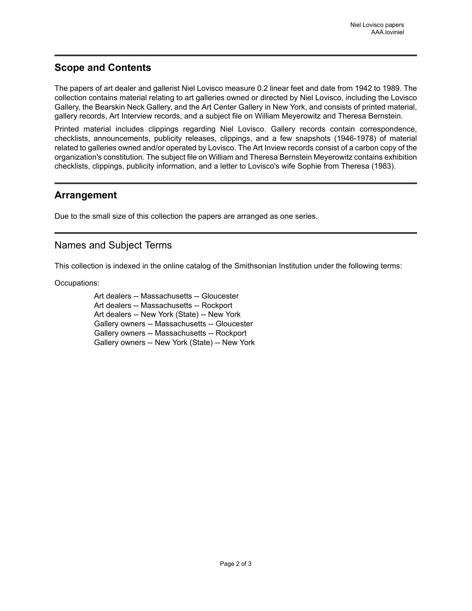## <span id="page-3-1"></span>**Scope and Contents**

The papers of art dealer and gallerist Niel Lovisco measure 0.2 linear feet and date from 1942 to 1989. The collection contains material relating to art galleries owned or directed by Niel Lovisco, including the Lovisco Gallery, the Bearskin Neck Gallery, and the Art Center Gallery in New York, and consists of printed material, gallery records, Art Interview records, and a subject file on William Meyerowitz and Theresa Bernstein.

Printed material includes clippings regarding Niel Lovisco. Gallery records contain correspondence, checklists, announcements, publicity releases, clippings, and a few snapshots (1946-1978) of material related to galleries owned and/or operated by Lovisco. The Art Inview records consist of a carbon copy of the organization's constitution. The subject file on William and Theresa Bernstein Meyerowitz contains exhibition checklists, clippings, publicity information, and a letter to Lovisco's wife Sophie from Theresa (1983).

#### <span id="page-3-0"></span>**Arrangement**

Due to the small size of this collection the papers are arranged as one series.

## <span id="page-3-2"></span>Names and Subject Terms

This collection is indexed in the online catalog of the Smithsonian Institution under the following terms:

Occupations:

Art dealers -- Massachusetts -- Gloucester Art dealers -- Massachusetts -- Rockport Art dealers -- New York (State) -- New York Gallery owners -- Massachusetts -- Gloucester Gallery owners -- Massachusetts -- Rockport Gallery owners -- New York (State) -- New York